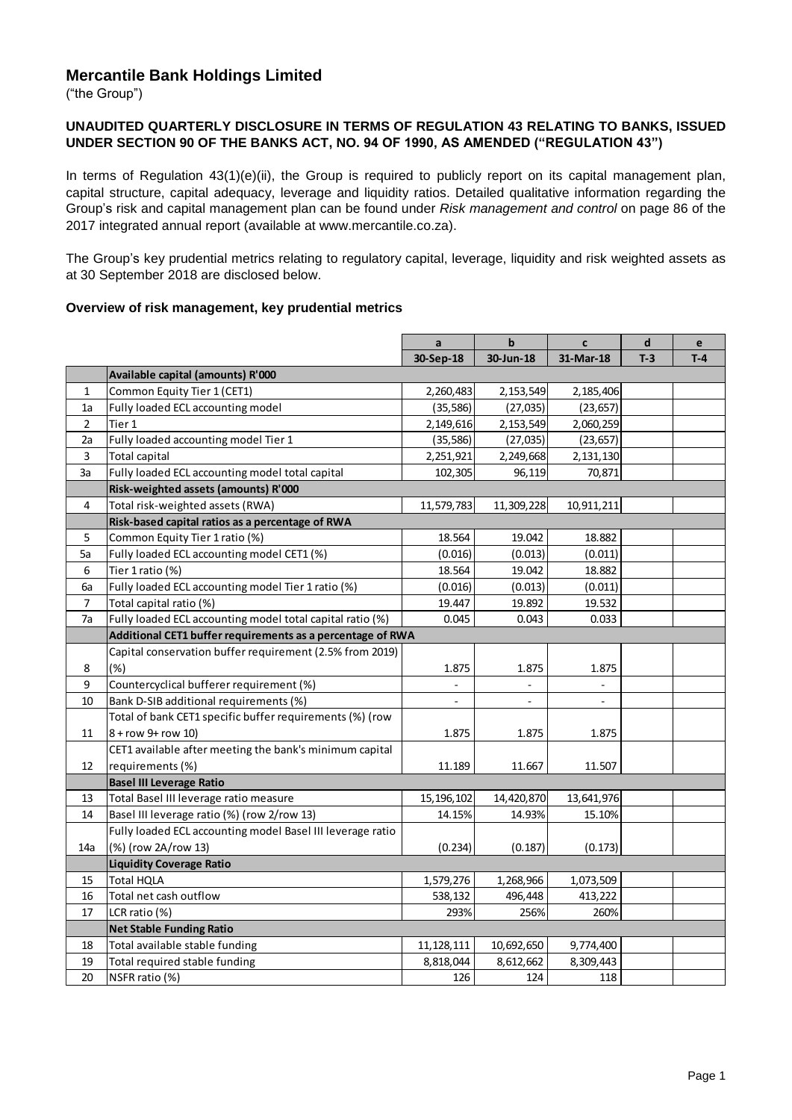# **Mercantile Bank Holdings Limited**

("the Group")

#### **UNAUDITED QUARTERLY DISCLOSURE IN TERMS OF REGULATION 43 RELATING TO BANKS, ISSUED UNDER SECTION 90 OF THE BANKS ACT, NO. 94 OF 1990, AS AMENDED ("REGULATION 43")**

In terms of Regulation 43(1)(e)(ii), the Group is required to publicly report on its capital management plan, capital structure, capital adequacy, leverage and liquidity ratios. Detailed qualitative information regarding the Group's risk and capital management plan can be found under *Risk management and control* on page 86 of the 2017 integrated annual report (available at www.mercantile.co.za).

The Group's key prudential metrics relating to regulatory capital, leverage, liquidity and risk weighted assets as at 30 September 2018 are disclosed below.

#### **Overview of risk management, key prudential metrics**

|                |                                                            | a              | $\mathbf b$    | $\mathbf c$              | $\mathbf d$ | $\mathbf{e}$ |
|----------------|------------------------------------------------------------|----------------|----------------|--------------------------|-------------|--------------|
|                |                                                            | 30-Sep-18      | 30-Jun-18      | 31-Mar-18                | $T-3$       | $T-4$        |
|                | Available capital (amounts) R'000                          |                |                |                          |             |              |
| $\mathbf{1}$   | Common Equity Tier 1 (CET1)                                | 2,260,483      | 2,153,549      | 2,185,406                |             |              |
| 1a             | Fully loaded ECL accounting model                          | (35, 586)      | (27, 035)      | (23, 657)                |             |              |
| $\overline{2}$ | Tier 1                                                     | 2,149,616      | 2,153,549      | 2,060,259                |             |              |
| 2a             | Fully loaded accounting model Tier 1                       | (35, 586)      | (27, 035)      | (23, 657)                |             |              |
| $\mathsf 3$    | <b>Total capital</b>                                       | 2,251,921      | 2,249,668      | 2,131,130                |             |              |
| 3a             | Fully loaded ECL accounting model total capital            | 102,305        | 96,119         | 70,871                   |             |              |
|                | Risk-weighted assets (amounts) R'000                       |                |                |                          |             |              |
| 4              | Total risk-weighted assets (RWA)                           | 11,579,783     | 11,309,228     | 10,911,211               |             |              |
|                | Risk-based capital ratios as a percentage of RWA           |                |                |                          |             |              |
| 5              | Common Equity Tier 1 ratio (%)                             | 18.564         | 19.042         | 18.882                   |             |              |
| 5a             | Fully loaded ECL accounting model CET1 (%)                 | (0.016)        | (0.013)        | (0.011)                  |             |              |
| 6              | Tier 1 ratio (%)                                           | 18.564         | 19.042         | 18.882                   |             |              |
| 6a             | Fully loaded ECL accounting model Tier 1 ratio (%)         | (0.016)        | (0.013)        | (0.011)                  |             |              |
| $\overline{7}$ | Total capital ratio (%)                                    | 19.447         | 19.892         | 19.532                   |             |              |
| 7a             | Fully loaded ECL accounting model total capital ratio (%)  | 0.045          | 0.043          | 0.033                    |             |              |
|                | Additional CET1 buffer requirements as a percentage of RWA |                |                |                          |             |              |
|                | Capital conservation buffer requirement (2.5% from 2019)   |                |                |                          |             |              |
| 8              | (%)                                                        | 1.875          | 1.875          | 1.875                    |             |              |
| 9              | Countercyclical bufferer requirement (%)                   | $\blacksquare$ | $\blacksquare$ | $\overline{\phantom{a}}$ |             |              |
| 10             | Bank D-SIB additional requirements (%)                     | ÷              | $\frac{1}{2}$  | $\overline{\phantom{a}}$ |             |              |
|                | Total of bank CET1 specific buffer requirements (%) (row   |                |                |                          |             |              |
| 11             | 8 + row 9+ row 10)                                         | 1.875          | 1.875          | 1.875                    |             |              |
|                | CET1 available after meeting the bank's minimum capital    |                |                |                          |             |              |
| 12             | requirements (%)                                           | 11.189         | 11.667         | 11.507                   |             |              |
|                | <b>Basel III Leverage Ratio</b>                            |                |                |                          |             |              |
| 13             | Total Basel III leverage ratio measure                     | 15, 196, 102   | 14,420,870     | 13,641,976               |             |              |
| 14             | Basel III leverage ratio (%) (row 2/row 13)                | 14.15%         | 14.93%         | 15.10%                   |             |              |
|                | Fully loaded ECL accounting model Basel III leverage ratio |                |                |                          |             |              |
| 14a            | (%) (row 2A/row 13)                                        | (0.234)        | (0.187)        | (0.173)                  |             |              |
|                | <b>Liquidity Coverage Ratio</b>                            |                |                |                          |             |              |
| 15             | <b>Total HQLA</b>                                          | 1,579,276      | 1,268,966      | 1,073,509                |             |              |
| 16             | Total net cash outflow                                     | 538,132        | 496,448        | 413,222                  |             |              |
| 17             | LCR ratio (%)                                              | 293%           | 256%           | 260%                     |             |              |
|                | <b>Net Stable Funding Ratio</b>                            |                |                |                          |             |              |
| 18             | Total available stable funding                             | 11, 128, 111   | 10,692,650     | 9,774,400                |             |              |
| 19             | Total required stable funding                              | 8,818,044      | 8,612,662      | 8,309,443                |             |              |
| 20             | NSFR ratio (%)                                             | 126            | 124            | 118                      |             |              |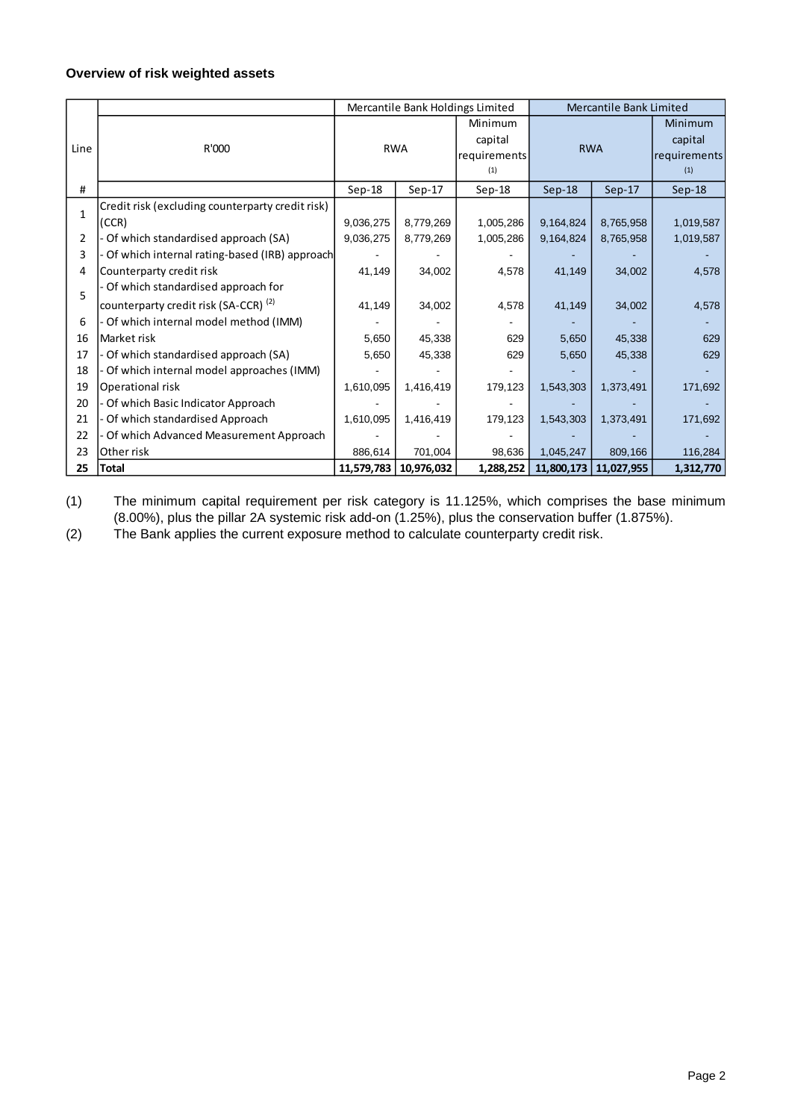### **Overview of risk weighted assets**

|              |                                                  | Mercantile Bank Holdings Limited |            | <b>Mercantile Bank Limited</b> |                      |            |              |
|--------------|--------------------------------------------------|----------------------------------|------------|--------------------------------|----------------------|------------|--------------|
|              |                                                  | <b>RWA</b>                       |            | Minimum                        | <b>RWA</b>           |            | Minimum      |
|              |                                                  |                                  |            | capital                        |                      |            | capital      |
| Line         | R'000                                            |                                  |            | requirements                   |                      |            | requirements |
|              |                                                  |                                  |            | (1)                            |                      |            | (1)          |
| #            |                                                  | $Sep-18$                         | $Sep-17$   | $Sep-18$                       | $Sep-18$<br>$Sep-17$ |            | $Sep-18$     |
| $\mathbf{1}$ | Credit risk (excluding counterparty credit risk) |                                  |            |                                |                      |            |              |
|              | (CCR)                                            | 9,036,275                        | 8,779,269  | 1,005,286                      | 9,164,824            | 8,765,958  | 1,019,587    |
| 2            | - Of which standardised approach (SA)            | 9,036,275                        | 8,779,269  | 1,005,286                      | 9,164,824            | 8,765,958  | 1,019,587    |
| 3            | Of which internal rating-based (IRB) approach    |                                  |            |                                |                      |            |              |
| 4            | Counterparty credit risk                         | 41,149                           | 34,002     | 4,578                          | 41,149               | 34,002     | 4,578        |
| 5            | - Of which standardised approach for             |                                  |            |                                |                      |            |              |
|              | counterparty credit risk (SA-CCR) <sup>(2)</sup> | 41,149                           | 34,002     | 4,578                          | 41,149               | 34,002     | 4,578        |
| 6            | - Of which internal model method (IMM)           |                                  |            |                                |                      |            |              |
| 16           | Market risk                                      | 5,650                            | 45,338     | 629                            | 5,650                | 45,338     | 629          |
| 17           | - Of which standardised approach (SA)            | 5,650                            | 45,338     | 629                            | 5,650                | 45,338     | 629          |
| 18           | - Of which internal model approaches (IMM)       |                                  |            |                                |                      |            |              |
| 19           | Operational risk                                 | 1,610,095                        | 1,416,419  | 179,123                        | 1,543,303            | 1,373,491  | 171,692      |
| 20           | - Of which Basic Indicator Approach              |                                  |            |                                |                      |            |              |
| 21           | - Of which standardised Approach                 | 1,610,095                        | 1,416,419  | 179,123                        | 1,543,303            | 1,373,491  | 171,692      |
| 22           | - Of which Advanced Measurement Approach         |                                  |            |                                |                      |            |              |
| 23           | Other risk                                       | 886,614                          | 701,004    | 98,636                         | 1,045,247            | 809,166    | 116,284      |
| 25           | Total                                            | 11,579,783                       | 10,976,032 | 1,288,252                      | 11,800,173           | 11,027,955 | 1,312,770    |

(1) The minimum capital requirement per risk category is 11.125%, which comprises the base minimum (8.00%), plus the pillar 2A systemic risk add-on (1.25%), plus the conservation buffer (1.875%).

(2) The Bank applies the current exposure method to calculate counterparty credit risk.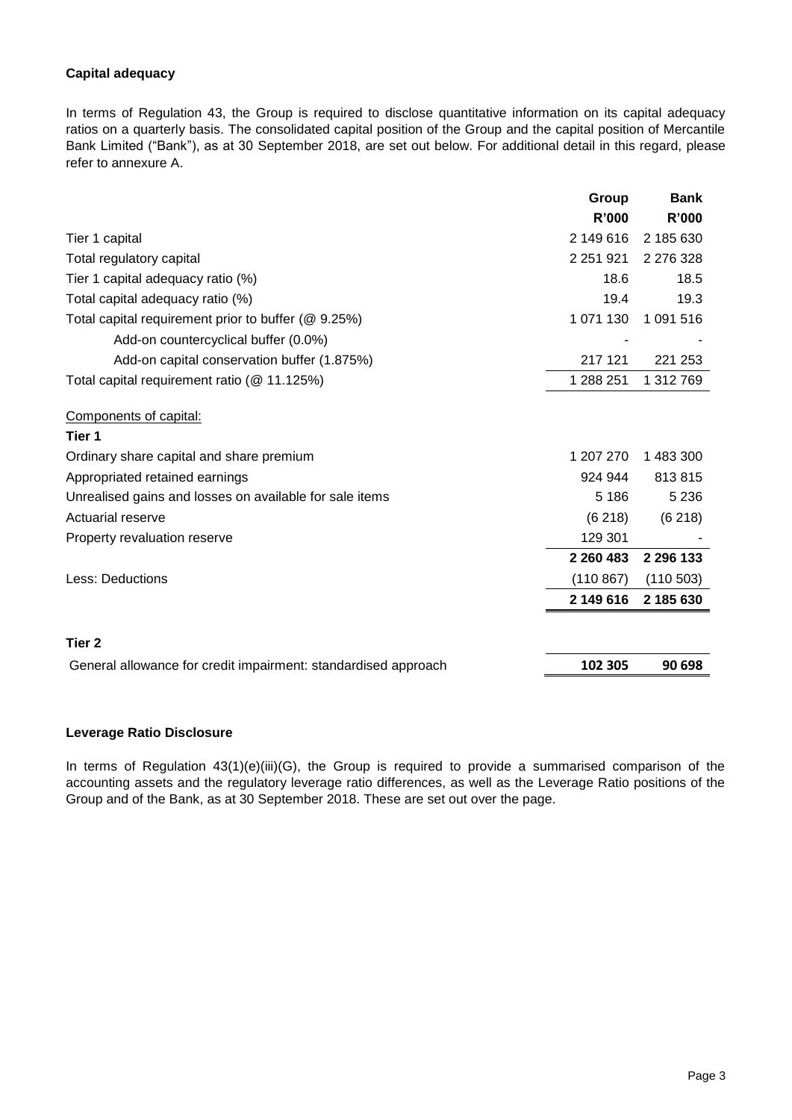### **Capital adequacy**

In terms of Regulation 43, the Group is required to disclose quantitative information on its capital adequacy ratios on a quarterly basis. The consolidated capital position of the Group and the capital position of Mercantile Bank Limited ("Bank"), as at 30 September 2018, are set out below. For additional detail in this regard, please refer to annexure A.

|                                                                | Group         | <b>Bank</b> |
|----------------------------------------------------------------|---------------|-------------|
|                                                                | R'000         | R'000       |
| Tier 1 capital                                                 | 2 149 616     | 2 185 630   |
| Total regulatory capital                                       | 2 2 5 1 9 2 1 | 2 276 328   |
| Tier 1 capital adequacy ratio (%)                              | 18.6          | 18.5        |
| Total capital adequacy ratio (%)                               | 19.4          | 19.3        |
| Total capital requirement prior to buffer (@ 9.25%)            | 1 071 130     | 1 091 516   |
| Add-on countercyclical buffer (0.0%)                           |               |             |
| Add-on capital conservation buffer (1.875%)                    | 217 121       | 221 253     |
| Total capital requirement ratio (@ 11.125%)                    | 1 288 251     | 1 312 769   |
| Components of capital:                                         |               |             |
| Tier 1                                                         |               |             |
| Ordinary share capital and share premium                       | 1 207 270     | 1 483 300   |
| Appropriated retained earnings                                 | 924 944       | 813815      |
| Unrealised gains and losses on available for sale items        | 5 1 8 6       | 5 2 3 6     |
| <b>Actuarial reserve</b>                                       | (6218)        | (6218)      |
| Property revaluation reserve                                   | 129 301       |             |
|                                                                | 2 2 6 0 4 8 3 | 2 296 133   |
| Less: Deductions                                               | (110 867)     | (110503)    |
|                                                                | 2 149 616     | 2 185 630   |
| Tier 2                                                         |               |             |
| General allowance for credit impairment: standardised approach | 102 305       | 90 698      |

## **Leverage Ratio Disclosure**

In terms of Regulation 43(1)(e)(iii)(G), the Group is required to provide a summarised comparison of the accounting assets and the regulatory leverage ratio differences, as well as the Leverage Ratio positions of the Group and of the Bank, as at 30 September 2018. These are set out over the page.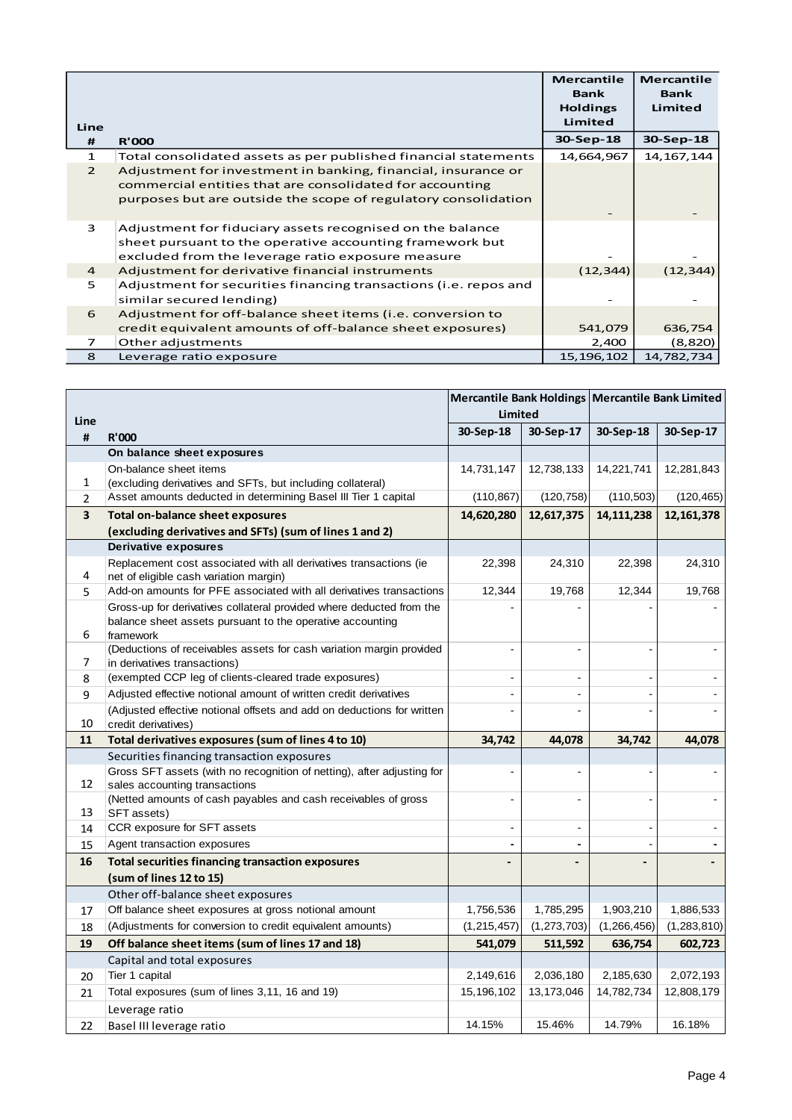|                |                                                                  | <b>Mercantile</b><br><b>Bank</b><br><b>Holdings</b> | <b>Mercantile</b><br><b>Bank</b><br>Limited |
|----------------|------------------------------------------------------------------|-----------------------------------------------------|---------------------------------------------|
| Line           |                                                                  | Limited                                             |                                             |
| #              | <b>R'000</b>                                                     | 30-Sep-18                                           | 30-Sep-18                                   |
| $\mathbf{1}$   | Total consolidated assets as per published financial statements  | 14,664,967                                          | 14, 167, 144                                |
| $\mathcal{P}$  | Adjustment for investment in banking, financial, insurance or    |                                                     |                                             |
|                | commercial entities that are consolidated for accounting         |                                                     |                                             |
|                | purposes but are outside the scope of regulatory consolidation   |                                                     |                                             |
|                |                                                                  |                                                     |                                             |
| 3              | Adjustment for fiduciary assets recognised on the balance        |                                                     |                                             |
|                | sheet pursuant to the operative accounting framework but         |                                                     |                                             |
|                | excluded from the leverage ratio exposure measure                |                                                     |                                             |
| $\overline{a}$ | Adjustment for derivative financial instruments                  | (12, 344)                                           | (12, 344)                                   |
| 5              | Adjustment for securities financing transactions (i.e. repos and |                                                     |                                             |
|                | similar secured lending)                                         |                                                     |                                             |
| 6              | Adjustment for off-balance sheet items (i.e. conversion to       |                                                     |                                             |
|                | credit equivalent amounts of off-balance sheet exposures)        | 541,079                                             | 636,754                                     |
| $\overline{7}$ | Other adjustments                                                | 2,400                                               | (8,820)                                     |
| 8              | Leverage ratio exposure                                          | 15,196,102                                          | 14,782,734                                  |

|                         |                                                                                                                                                |                | Mercantile Bank Holdings Mercantile Bank Limited |               |               |  |
|-------------------------|------------------------------------------------------------------------------------------------------------------------------------------------|----------------|--------------------------------------------------|---------------|---------------|--|
| Line                    |                                                                                                                                                | Limited        |                                                  |               |               |  |
| #                       | <b>R'000</b>                                                                                                                                   | 30-Sep-18      | 30-Sep-17                                        | 30-Sep-18     | 30-Sep-17     |  |
|                         | On balance sheet exposures                                                                                                                     |                |                                                  |               |               |  |
|                         | On-balance sheet items                                                                                                                         | 14,731,147     | 12,738,133                                       | 14,221,741    | 12,281,843    |  |
| 1                       | (excluding derivatives and SFTs, but including collateral)                                                                                     |                |                                                  |               |               |  |
| $\overline{2}$          | Asset amounts deducted in determining Basel III Tier 1 capital                                                                                 | (110, 867)     | (120, 758)                                       | (110, 503)    | (120, 465)    |  |
| $\overline{\mathbf{3}}$ | <b>Total on-balance sheet exposures</b>                                                                                                        | 14,620,280     | 12,617,375                                       | 14, 111, 238  | 12, 161, 378  |  |
|                         | (excluding derivatives and SFTs) (sum of lines 1 and 2)                                                                                        |                |                                                  |               |               |  |
|                         | Derivative exposures                                                                                                                           |                |                                                  |               |               |  |
| 4                       | Replacement cost associated with all derivatives transactions (ie<br>net of eligible cash variation margin)                                    | 22,398         | 24,310                                           | 22,398        | 24,310        |  |
| 5                       | Add-on amounts for PFE associated with all derivatives transactions                                                                            | 12,344         | 19,768                                           | 12,344        | 19,768        |  |
| 6                       | Gross-up for derivatives collateral provided where deducted from the<br>balance sheet assets pursuant to the operative accounting<br>framework |                |                                                  |               |               |  |
| 7                       | (Deductions of receivables assets for cash variation margin provided<br>in derivatives transactions)                                           |                | ÷,                                               |               |               |  |
| 8                       | (exempted CCP leg of clients-cleared trade exposures)                                                                                          |                | $\blacksquare$                                   |               |               |  |
| 9                       | Adjusted effective notional amount of written credit derivatives                                                                               | $\blacksquare$ | $\sim$                                           |               |               |  |
| 10                      | (Adjusted effective notional offsets and add on deductions for written<br>credit derivatives)                                                  |                |                                                  |               |               |  |
| 11                      | Total derivatives exposures (sum of lines 4 to 10)                                                                                             | 34,742         | 44,078                                           | 34,742        | 44,078        |  |
|                         | Securities financing transaction exposures                                                                                                     |                |                                                  |               |               |  |
| 12                      | Gross SFT assets (with no recognition of netting), after adjusting for<br>sales accounting transactions                                        | $\blacksquare$ | $\blacksquare$                                   |               |               |  |
| 13                      | (Netted amounts of cash payables and cash receivables of gross<br>SFT assets)                                                                  | L,             | $\blacksquare$                                   |               |               |  |
| 14                      | CCR exposure for SFT assets                                                                                                                    | $\blacksquare$ | $\mathbf{r}$                                     |               |               |  |
| 15                      | Agent transaction exposures                                                                                                                    |                |                                                  |               |               |  |
| 16                      | <b>Total securities financing transaction exposures</b>                                                                                        |                |                                                  |               |               |  |
|                         | (sum of lines 12 to 15)                                                                                                                        |                |                                                  |               |               |  |
|                         | Other off-balance sheet exposures                                                                                                              |                |                                                  |               |               |  |
| 17                      | Off balance sheet exposures at gross notional amount                                                                                           | 1,756,536      | 1,785,295                                        | 1,903,210     | 1,886,533     |  |
| 18                      | (Adjustments for conversion to credit equivalent amounts)                                                                                      | (1, 215, 457)  | (1, 273, 703)                                    | (1, 266, 456) | (1, 283, 810) |  |
| 19                      | Off balance sheet items (sum of lines 17 and 18)                                                                                               | 541,079        | 511,592                                          | 636,754       | 602,723       |  |
|                         | Capital and total exposures                                                                                                                    |                |                                                  |               |               |  |
| 20                      | Tier 1 capital                                                                                                                                 | 2,149,616      | 2,036,180                                        | 2,185,630     | 2,072,193     |  |
| 21                      | Total exposures (sum of lines 3,11, 16 and 19)                                                                                                 | 15, 196, 102   | 13, 173, 046                                     | 14,782,734    | 12,808,179    |  |
|                         | Leverage ratio                                                                                                                                 |                |                                                  |               |               |  |
| 22                      | Basel III leverage ratio                                                                                                                       | 14.15%         | 15.46%                                           | 14.79%        | 16.18%        |  |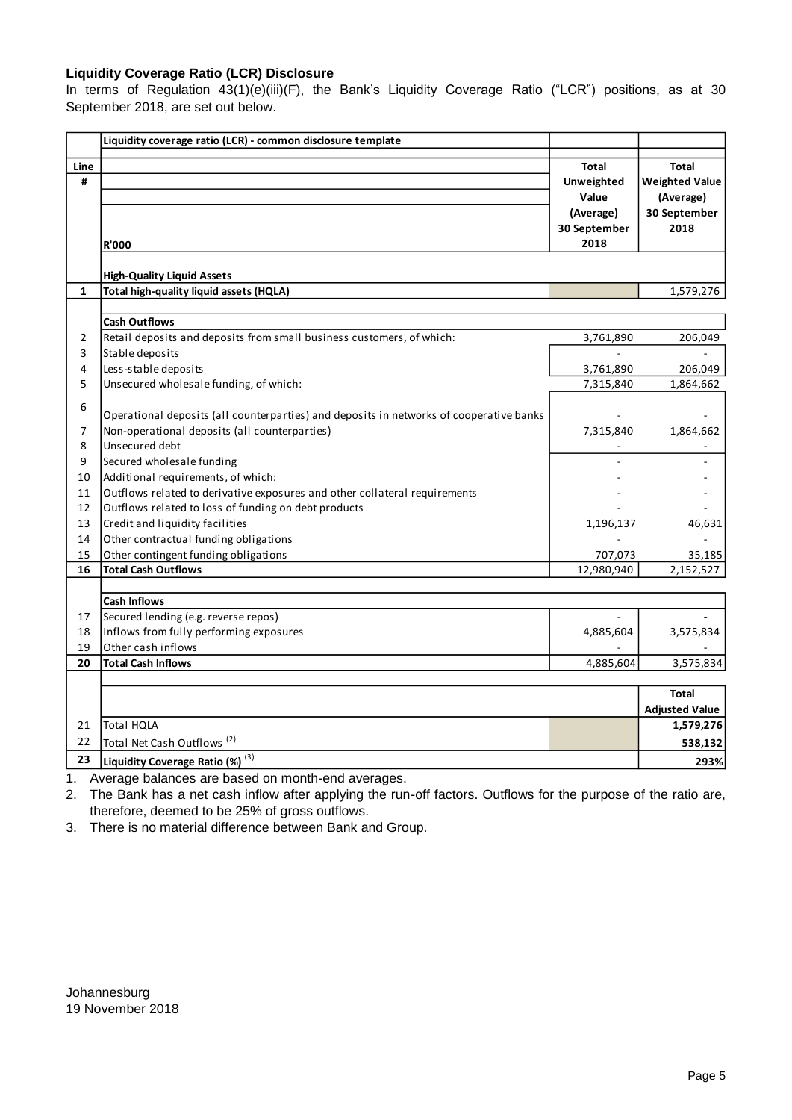### **Liquidity Coverage Ratio (LCR) Disclosure**

In terms of Regulation 43(1)(e)(iii)(F), the Bank's Liquidity Coverage Ratio ("LCR") positions, as at 30 September 2018, are set out below.

|                | Liquidity coverage ratio (LCR) - common disclosure template                             |              |                       |
|----------------|-----------------------------------------------------------------------------------------|--------------|-----------------------|
| Line           |                                                                                         | <b>Total</b> | <b>Total</b>          |
| #              |                                                                                         | Unweighted   | <b>Weighted Value</b> |
|                |                                                                                         | Value        | (Average)             |
|                |                                                                                         | (Average)    | 30 September          |
|                |                                                                                         | 30 September | 2018                  |
|                | <b>R'000</b>                                                                            | 2018         |                       |
|                |                                                                                         |              |                       |
|                | <b>High-Quality Liquid Assets</b>                                                       |              |                       |
| $\mathbf{1}$   | Total high-quality liquid assets (HQLA)                                                 |              | 1,579,276             |
|                |                                                                                         |              |                       |
|                | <b>Cash Outflows</b>                                                                    |              |                       |
| $\overline{2}$ | Retail deposits and deposits from small business customers, of which:                   | 3,761,890    | 206,049               |
| 3              | Stable deposits                                                                         |              |                       |
| 4              | Less-stable deposits                                                                    | 3,761,890    | 206,049               |
| 5              | Unsecured wholesale funding, of which:                                                  | 7,315,840    | 1,864,662             |
| 6              |                                                                                         |              |                       |
|                | Operational deposits (all counterparties) and deposits in networks of cooperative banks |              |                       |
| 7              | Non-operational deposits (all counterparties)                                           | 7,315,840    | 1,864,662             |
| 8              | Unsecured debt                                                                          |              |                       |
| 9              | Secured wholesale funding                                                               |              |                       |
| 10             | Additional requirements, of which:                                                      |              |                       |
| 11             | Outflows related to derivative exposures and other collateral requirements              |              |                       |
| 12             | Outflows related to loss of funding on debt products                                    |              |                       |
| 13             | Credit and liquidity facilities                                                         | 1,196,137    | 46,631                |
| 14             | Other contractual funding obligations                                                   |              |                       |
| 15             | Other contingent funding obligations                                                    | 707,073      | 35,185                |
| 16             | <b>Total Cash Outflows</b>                                                              | 12,980,940   | 2,152,527             |
|                |                                                                                         |              |                       |
|                | <b>Cash Inflows</b>                                                                     |              |                       |
| 17             | Secured lending (e.g. reverse repos)                                                    | $\sim$       |                       |
| 18             | Inflows from fully performing exposures                                                 | 4,885,604    | 3,575,834             |
| 19             | Other cash inflows                                                                      |              |                       |
| 20             | <b>Total Cash Inflows</b>                                                               | 4,885,604    | 3,575,834             |
|                |                                                                                         |              |                       |
|                |                                                                                         |              | <b>Total</b>          |
|                |                                                                                         |              | <b>Adjusted Value</b> |
| 21             | <b>Total HQLA</b>                                                                       |              | 1,579,276             |
| 22             | Total Net Cash Outflows <sup>(2)</sup>                                                  |              | 538,132               |
| 23             | Liquidity Coverage Ratio (%) (3)                                                        |              | 293%                  |
| 1.             | Average balances are based on month-end averages.                                       |              |                       |

2. The Bank has a net cash inflow after applying the run-off factors. Outflows for the purpose of the ratio are, therefore, deemed to be 25% of gross outflows.

3. There is no material difference between Bank and Group.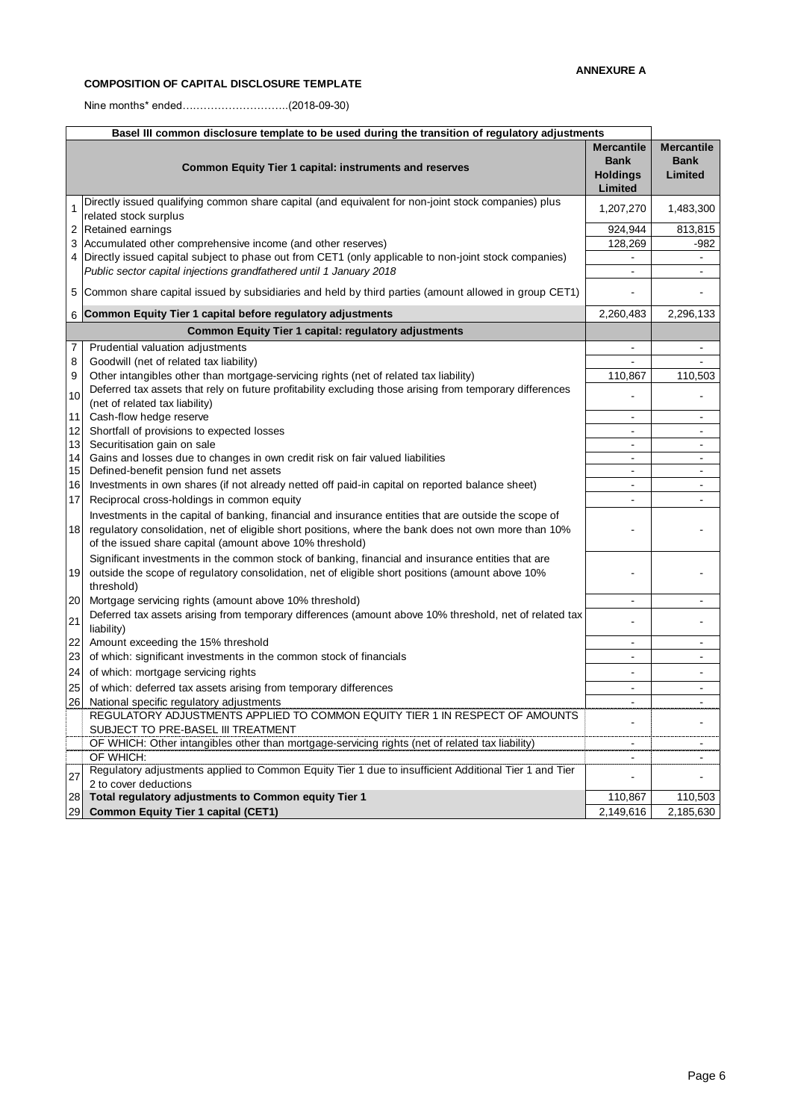#### **COMPOSITION OF CAPITAL DISCLOSURE TEMPLATE**

Nine months\* ended….……………………..(2018-09-30)

| Basel III common disclosure template to be used during the transition of regulatory adjustments |                                                                                                                                                                                                                                                                           |                                                                |                                             |  |
|-------------------------------------------------------------------------------------------------|---------------------------------------------------------------------------------------------------------------------------------------------------------------------------------------------------------------------------------------------------------------------------|----------------------------------------------------------------|---------------------------------------------|--|
|                                                                                                 | <b>Common Equity Tier 1 capital: instruments and reserves</b>                                                                                                                                                                                                             | <b>Mercantile</b><br><b>Bank</b><br><b>Holdings</b><br>Limited | <b>Mercantile</b><br><b>Bank</b><br>Limited |  |
| 1                                                                                               | Directly issued qualifying common share capital (and equivalent for non-joint stock companies) plus<br>related stock surplus                                                                                                                                              | 1,207,270                                                      | 1,483,300                                   |  |
| 2                                                                                               | Retained earnings                                                                                                                                                                                                                                                         | 924,944                                                        | 813,815                                     |  |
| 3                                                                                               | Accumulated other comprehensive income (and other reserves)                                                                                                                                                                                                               | 128,269                                                        | $-982$                                      |  |
| 4                                                                                               | Directly issued capital subject to phase out from CET1 (only applicable to non-joint stock companies)                                                                                                                                                                     | $\blacksquare$                                                 | $\sim$                                      |  |
|                                                                                                 | Public sector capital injections grandfathered until 1 January 2018                                                                                                                                                                                                       | $\sim$                                                         | $\mathbf{r}$                                |  |
| 5                                                                                               | Common share capital issued by subsidiaries and held by third parties (amount allowed in group CET1)                                                                                                                                                                      |                                                                |                                             |  |
| 6                                                                                               | Common Equity Tier 1 capital before regulatory adjustments                                                                                                                                                                                                                | 2,260,483                                                      | 2,296,133                                   |  |
|                                                                                                 | Common Equity Tier 1 capital: regulatory adjustments                                                                                                                                                                                                                      |                                                                |                                             |  |
| 7                                                                                               | Prudential valuation adjustments                                                                                                                                                                                                                                          |                                                                | $\overline{a}$                              |  |
| 8                                                                                               | Goodwill (net of related tax liability)                                                                                                                                                                                                                                   |                                                                |                                             |  |
| 9                                                                                               | Other intangibles other than mortgage-servicing rights (net of related tax liability)                                                                                                                                                                                     | 110,867                                                        | 110,503                                     |  |
| 10                                                                                              | Deferred tax assets that rely on future profitability excluding those arising from temporary differences<br>(net of related tax liability)                                                                                                                                |                                                                |                                             |  |
| 11                                                                                              | Cash-flow hedge reserve                                                                                                                                                                                                                                                   | $\sim$                                                         | $\overline{a}$                              |  |
| 12                                                                                              | Shortfall of provisions to expected losses                                                                                                                                                                                                                                | $\overline{a}$                                                 | $\overline{a}$                              |  |
| 13                                                                                              | Securitisation gain on sale                                                                                                                                                                                                                                               | $\sim$                                                         | $\sim$                                      |  |
| 14                                                                                              | Gains and losses due to changes in own credit risk on fair valued liabilities                                                                                                                                                                                             | $\sim$                                                         | $\ddot{\phantom{a}}$                        |  |
| 15                                                                                              | Defined-benefit pension fund net assets                                                                                                                                                                                                                                   | $\sim$<br>$\sim$                                               | н.<br>$\sim$                                |  |
| 16<br>17                                                                                        | Investments in own shares (if not already netted off paid-in capital on reported balance sheet)<br>Reciprocal cross-holdings in common equity                                                                                                                             | $\overline{a}$                                                 | $\sim$                                      |  |
| 18                                                                                              | Investments in the capital of banking, financial and insurance entities that are outside the scope of<br>regulatory consolidation, net of eligible short positions, where the bank does not own more than 10%<br>of the issued share capital (amount above 10% threshold) |                                                                |                                             |  |
| 19                                                                                              | Significant investments in the common stock of banking, financial and insurance entities that are<br>outside the scope of regulatory consolidation, net of eligible short positions (amount above 10%<br>threshold)                                                       |                                                                |                                             |  |
| 20                                                                                              | Mortgage servicing rights (amount above 10% threshold)                                                                                                                                                                                                                    | $\sim$                                                         | $\mathbf{r}$                                |  |
| 21                                                                                              | Deferred tax assets arising from temporary differences (amount above 10% threshold, net of related tax<br>liability)                                                                                                                                                      |                                                                |                                             |  |
| 22                                                                                              | Amount exceeding the 15% threshold                                                                                                                                                                                                                                        | $\sim$                                                         | $\blacksquare$                              |  |
| 23                                                                                              | of which: significant investments in the common stock of financials                                                                                                                                                                                                       | $\sim$                                                         | $\blacksquare$                              |  |
| 24                                                                                              | of which: mortgage servicing rights                                                                                                                                                                                                                                       |                                                                | ä,                                          |  |
| 25                                                                                              | of which: deferred tax assets arising from temporary differences                                                                                                                                                                                                          | $\sim$                                                         | $\blacksquare$                              |  |
| 26                                                                                              | National specific regulatory adjustments                                                                                                                                                                                                                                  | $\blacksquare$                                                 | $\blacksquare$                              |  |
|                                                                                                 | REGULATORY ADJUSTMENTS APPLIED TO COMMON EQUITY TIER 1 IN RESPECT OF AMOUNTS<br>SUBJECT TO PRE-BASEL III TREATMENT                                                                                                                                                        |                                                                | ä,                                          |  |
|                                                                                                 | OF WHICH: Other intangibles other than mortgage-servicing rights (net of related tax liability)                                                                                                                                                                           |                                                                |                                             |  |
|                                                                                                 | OF WHICH:                                                                                                                                                                                                                                                                 | $\blacksquare$                                                 | $\blacksquare$                              |  |
| 27                                                                                              | Regulatory adjustments applied to Common Equity Tier 1 due to insufficient Additional Tier 1 and Tier<br>2 to cover deductions                                                                                                                                            | $\overline{\phantom{a}}$                                       | ä,                                          |  |
| 28                                                                                              | Total regulatory adjustments to Common equity Tier 1                                                                                                                                                                                                                      | 110,867                                                        | 110,503                                     |  |
| 29                                                                                              | <b>Common Equity Tier 1 capital (CET1)</b>                                                                                                                                                                                                                                | 2,149,616                                                      | 2,185,630                                   |  |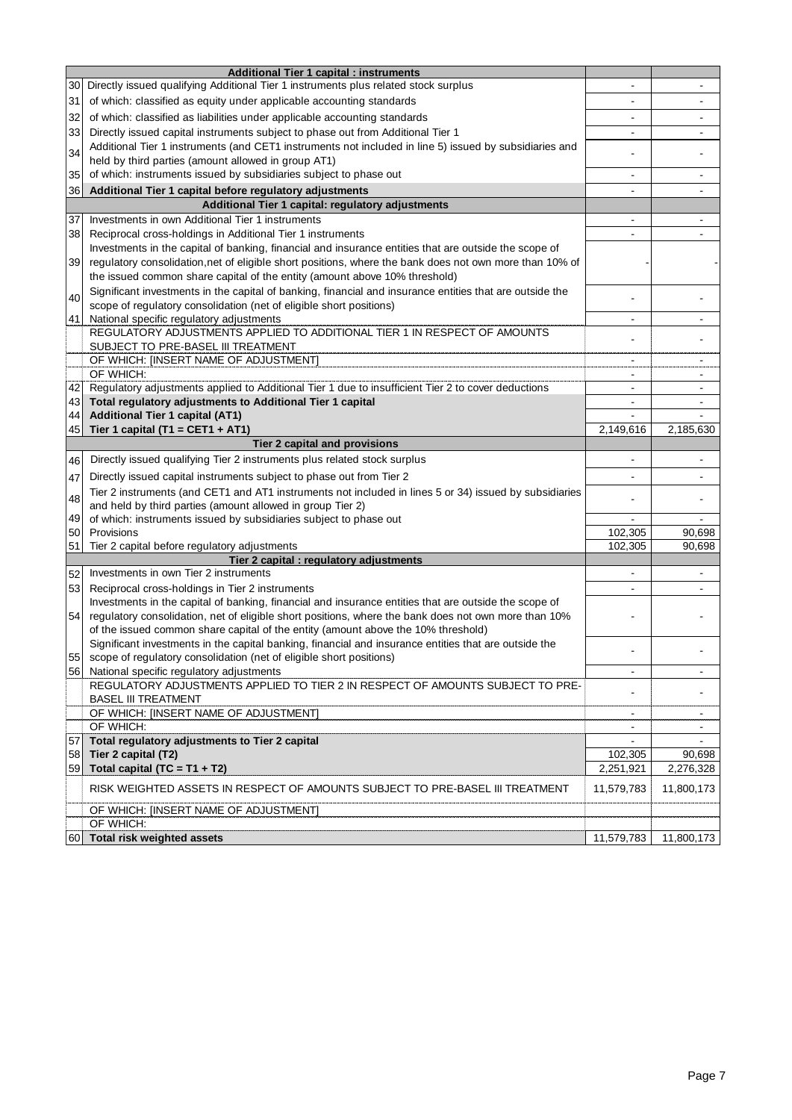|     | <b>Additional Tier 1 capital : instruments</b>                                                                                                                |                          |            |
|-----|---------------------------------------------------------------------------------------------------------------------------------------------------------------|--------------------------|------------|
| 30  | Directly issued qualifying Additional Tier 1 instruments plus related stock surplus                                                                           |                          |            |
| 31  | of which: classified as equity under applicable accounting standards                                                                                          |                          |            |
| 32  | of which: classified as liabilities under applicable accounting standards                                                                                     |                          |            |
|     |                                                                                                                                                               |                          |            |
| 33  | Directly issued capital instruments subject to phase out from Additional Tier 1                                                                               |                          |            |
| 34  | Additional Tier 1 instruments (and CET1 instruments not included in line 5) issued by subsidiaries and<br>held by third parties (amount allowed in group AT1) |                          |            |
| 35  | of which: instruments issued by subsidiaries subject to phase out                                                                                             |                          |            |
|     |                                                                                                                                                               | $\overline{\phantom{0}}$ |            |
| 36  | Additional Tier 1 capital before regulatory adjustments                                                                                                       | ä,                       |            |
|     | Additional Tier 1 capital: regulatory adjustments                                                                                                             |                          |            |
| 37  | Investments in own Additional Tier 1 instruments                                                                                                              |                          |            |
| 38  | Reciprocal cross-holdings in Additional Tier 1 instruments                                                                                                    | ä,                       |            |
|     | Investments in the capital of banking, financial and insurance entities that are outside the scope of                                                         |                          |            |
| 39  | regulatory consolidation, net of eligible short positions, where the bank does not own more than 10% of                                                       |                          |            |
|     | the issued common share capital of the entity (amount above 10% threshold)                                                                                    |                          |            |
| 40  | Significant investments in the capital of banking, financial and insurance entities that are outside the                                                      |                          |            |
|     | scope of regulatory consolidation (net of eligible short positions)                                                                                           |                          |            |
| 41  | National specific regulatory adjustments                                                                                                                      | $\overline{\phantom{0}}$ |            |
|     | REGULATORY ADJUSTMENTS APPLIED TO ADDITIONAL TIER 1 IN RESPECT OF AMOUNTS                                                                                     |                          |            |
|     | SUBJECT TO PRE-BASEL III TREATMENT                                                                                                                            |                          |            |
|     | OF WHICH: [INSERT NAME OF ADJUSTMENT]<br>OF WHICH:                                                                                                            | ۰                        |            |
| 42  | Regulatory adjustments applied to Additional Tier 1 due to insufficient Tier 2 to cover deductions                                                            |                          |            |
| 43  | Total regulatory adjustments to Additional Tier 1 capital                                                                                                     |                          |            |
| 44  | <b>Additional Tier 1 capital (AT1)</b>                                                                                                                        |                          |            |
| 45  | Tier 1 capital (T1 = CET1 + AT1)                                                                                                                              | 2,149,616                | 2,185,630  |
|     | Tier 2 capital and provisions                                                                                                                                 |                          |            |
|     | Directly issued qualifying Tier 2 instruments plus related stock surplus                                                                                      |                          |            |
| 46  |                                                                                                                                                               |                          |            |
| 47  | Directly issued capital instruments subject to phase out from Tier 2                                                                                          |                          |            |
| 48  | Tier 2 instruments (and CET1 and AT1 instruments not included in lines 5 or 34) issued by subsidiaries                                                        |                          |            |
|     | and held by third parties (amount allowed in group Tier 2)                                                                                                    |                          |            |
| 49  | of which: instruments issued by subsidiaries subject to phase out                                                                                             |                          |            |
| 50  | Provisions                                                                                                                                                    | 102,305                  | 90,698     |
| 51  | Tier 2 capital before regulatory adjustments<br>Tier 2 capital : regulatory adjustments                                                                       | 102,305                  | 90,698     |
|     | Investments in own Tier 2 instruments                                                                                                                         |                          |            |
| 52  |                                                                                                                                                               |                          |            |
| 53  | Reciprocal cross-holdings in Tier 2 instruments<br>Investments in the capital of banking, financial and insurance entities that are outside the scope of      |                          |            |
| 54  | regulatory consolidation, net of eligible short positions, where the bank does not own more than 10%                                                          |                          |            |
|     | of the issued common share capital of the entity (amount above the 10% threshold)                                                                             |                          |            |
|     | Significant investments in the capital banking, financial and insurance entities that are outside the                                                         |                          |            |
|     | 55 scope of regulatory consolidation (net of eligible short positions)                                                                                        |                          |            |
| 561 | National specific regulatory adjustments                                                                                                                      | $\blacksquare$           | ۰          |
|     | REGULATORY ADJUSTMENTS APPLIED TO TIER 2 IN RESPECT OF AMOUNTS SUBJECT TO PRE-                                                                                |                          |            |
|     | <b>BASEL III TREATMENT</b>                                                                                                                                    |                          |            |
|     | OF WHICH: [INSERT NAME OF ADJUSTMENT]                                                                                                                         | $\blacksquare$           |            |
|     | OF WHICH:                                                                                                                                                     | $\blacksquare$           | $\sim$     |
| 57  | Total regulatory adjustments to Tier 2 capital                                                                                                                |                          |            |
| 58  | Tier 2 capital (T2)                                                                                                                                           | 102,305                  | 90,698     |
| 59  | Total capital (TC = $T1 + T2$ )                                                                                                                               | 2,251,921                | 2,276,328  |
|     | RISK WEIGHTED ASSETS IN RESPECT OF AMOUNTS SUBJECT TO PRE-BASEL III TREATMENT                                                                                 | 11,579,783               | 11,800,173 |
|     | OF WHICH: [INSERT NAME OF ADJUSTMENT]                                                                                                                         |                          |            |
|     | OF WHICH:                                                                                                                                                     |                          |            |
|     | 60 Total risk weighted assets                                                                                                                                 | 11,579,783               | 11,800,173 |
|     |                                                                                                                                                               |                          |            |